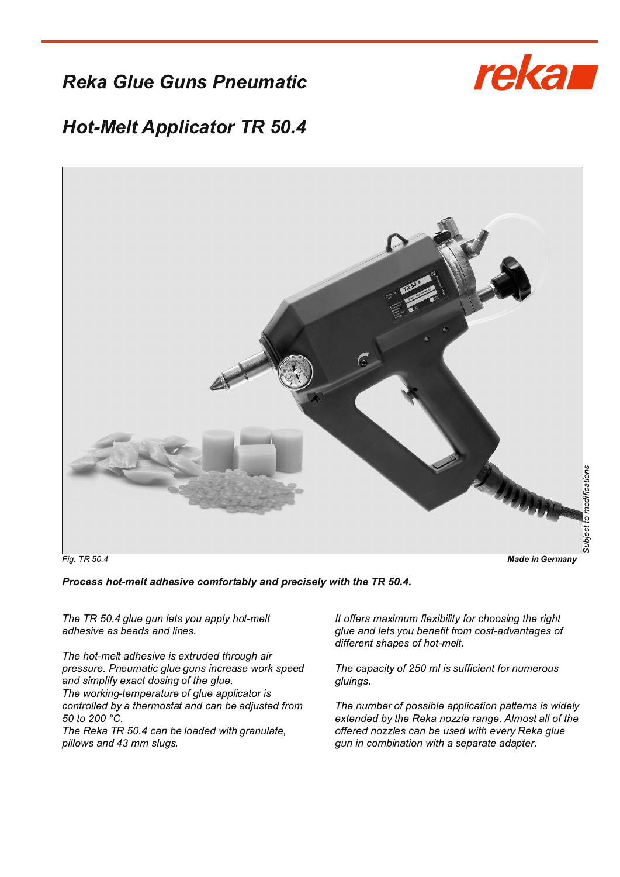**Reka Glue Guns Pneumatic** 



## **Hot-Melt Applicator TR 50.4**



Fig. TR 50.4

**Made in Germany** 

Process hot-melt adhesive comfortably and precisely with the TR 50.4.

The TR 50.4 glue gun lets you apply hot-melt adhesive as beads and lines.

The hot-melt adhesive is extruded through air pressure. Pneumatic glue guns increase work speed and simplify exact dosing of the glue. The working-temperature of glue applicator is controlled by a thermostat and can be adjusted from 50 to 200 °C. The Reka TR 50.4 can be loaded with granulate,

pillows and 43 mm slugs.

It offers maximum flexibility for choosing the right glue and lets you benefit from cost-advantages of different shapes of hot-melt.

The capacity of 250 ml is sufficient for numerous gluings.

The number of possible application patterns is widely extended by the Reka nozzle range. Almost all of the offered nozzles can be used with every Reka glue gun in combination with a separate adapter.